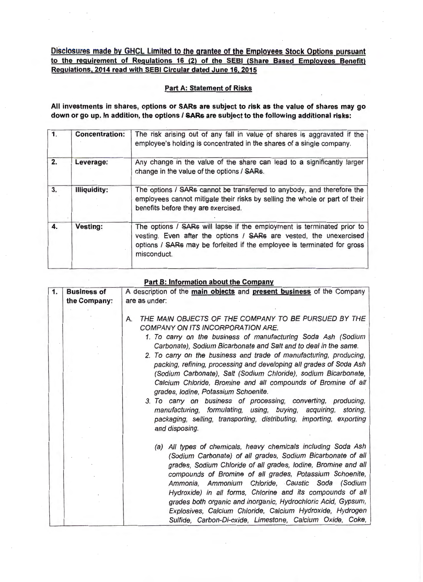**Disclosures made by GHCL Limited to the grantee of the Employees Stock Options pursuant to the requirement of Regulations 16 (2) of the SEBI (Share Based Employees Benefit) Regulations, 2014 read with SEBI Circular dated June 16. 2015** 

## **Part A: Statement of Risks**

**All investments in shares, options or SARs are subject to risk as the value of shares may go down or go up. In addition, the options I SAR& are subject to the following additional risks:** 

| $\overline{1}$ . | <b>Concentration:</b> | The risk arising out of any fall in value of shares is aggravated if the<br>employee's holding is concentrated in the shares of a single company.                                                                                      |
|------------------|-----------------------|----------------------------------------------------------------------------------------------------------------------------------------------------------------------------------------------------------------------------------------|
| 2.               | Leverage:             | Any change in the value of the share can lead to a significantly larger<br>change in the value of the options / SARs.                                                                                                                  |
| 3.               | <b>Illiquidity:</b>   | The options / SARs cannot be transferred to anybody, and therefore the<br>employees cannot mitigate their risks by selling the whole or part of their<br>benefits before they are exercised.                                           |
| 4.               | <b>Vesting:</b>       | The options / SARs will lapse if the employment is terminated prior to<br>vesting. Even after the options / SARs are vested, the unexercised<br>options / SARs may be forfeited if the employee is terminated for gross<br>misconduct. |
|                  |                       |                                                                                                                                                                                                                                        |

## **Part B: Information about the Company**

| $\mathbf{1}$ . | <b>Business of</b><br>the Company: | A description of the main objects and present business of the Company<br>are as under:                                                                                                                                                                                                                                                                                                                                                                                                                                                                                                                                                                                                                                                                                                     |  |
|----------------|------------------------------------|--------------------------------------------------------------------------------------------------------------------------------------------------------------------------------------------------------------------------------------------------------------------------------------------------------------------------------------------------------------------------------------------------------------------------------------------------------------------------------------------------------------------------------------------------------------------------------------------------------------------------------------------------------------------------------------------------------------------------------------------------------------------------------------------|--|
|                |                                    | THE MAIN OBJECTS OF THE COMPANY TO BE PURSUED BY THE<br>А.<br>COMPANY ON ITS INCORPORATION ARE.<br>1. To carry on the business of manufacturing Soda Ash (Sodium<br>Carbonate), Sodium Bicarbonate and Salt and to deal in the same.<br>2. To carry on the business and trade of manufacturing, producing,<br>packing, refining, processing and developing all grades of Soda Ash<br>(Sodium Carbonate), Salt (Sodium Chloride), sodium Bicarbonate,<br>Calcium Chloride, Bromine and all compounds of Bromine of all<br>grades, Iodine, Potassium Schoenite.<br>3. To carry on business of processing, converting, producing,<br>manufacturing, formulating, using, buying, acquiring, storing,<br>packaging, selling, transporting, distributing, importing, exporting<br>and disposing. |  |
|                |                                    | (a) All types of chemicals, heavy chemicals including Soda Ash<br>(Sodium Carbonate) of all grades, Sodium Bicarbonate of all<br>grades, Sodium Chloride of all grades, Iodine, Bromine and all<br>compounds of Bromine of all grades, Potassium Schoenite,<br>Ammonia, Ammonium Chloride, Caustic Soda (Sodium<br>Hydroxide) in all forms, Chlorine and its compounds of all<br>grades both organic and inorganic, Hydrochloric Acid, Gypsum,<br>Explosives, Calcium Chloride, Calcium Hydroxide, Hydrogen<br>Sulfide, Carbon-Di-oxide, Limestone, Calcium Oxide, Coke,                                                                                                                                                                                                                   |  |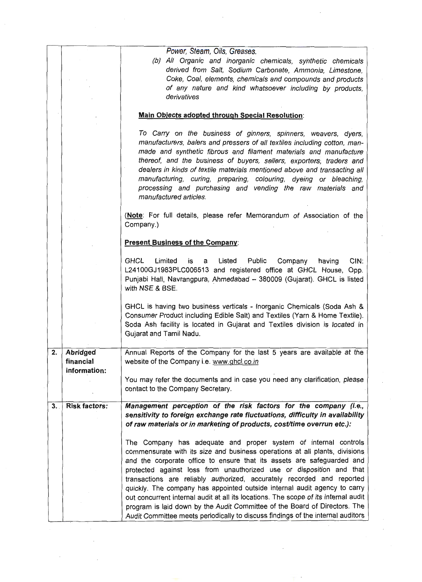|    |                                              | (b) All Organic and inorganic chemicals, synthetic chemicals<br>derived from Salt, Sodium Carbonate, Ammonia, Limestone,<br>Coke, Coal, elements, chemicals and compounds and products<br>of any nature and kind whatsoever including by products,<br>derivatives                                                                                                                                                                                                                                                                                                                                                                                                                                               |
|----|----------------------------------------------|-----------------------------------------------------------------------------------------------------------------------------------------------------------------------------------------------------------------------------------------------------------------------------------------------------------------------------------------------------------------------------------------------------------------------------------------------------------------------------------------------------------------------------------------------------------------------------------------------------------------------------------------------------------------------------------------------------------------|
|    |                                              | <b>Main Objects adopted through Special Resolution:</b>                                                                                                                                                                                                                                                                                                                                                                                                                                                                                                                                                                                                                                                         |
|    |                                              | To Carry on the business of ginners, spinners, weavers, dyers,<br>manufacturers, balers and pressers of all textiles including cotton, man-<br>made and synthetic fibrous and filament materials and manufacture<br>thereof, and the business of buyers, sellers, exporters, traders and<br>dealers in kinds of textile materials mentioned above and transacting all<br>manufacturing, curing, preparing, colouring, dyeing or bleaching,<br>processing and purchasing and vending the raw materials and<br>manufactured articles.                                                                                                                                                                             |
|    |                                              | (Note: For full details, please refer Memorandum of Association of the<br>Company.)                                                                                                                                                                                                                                                                                                                                                                                                                                                                                                                                                                                                                             |
|    |                                              | <b>Present Business of the Company:</b>                                                                                                                                                                                                                                                                                                                                                                                                                                                                                                                                                                                                                                                                         |
|    |                                              | <b>GHCL</b><br>Limited<br>Public<br>CIN:<br>Listed<br>Company<br>having<br>is<br>a<br>L24100GJ1983PLC006513 and registered office at GHCL House, Opp.<br>Punjabi Hall, Navrangpura, Ahmedabad - 380009 (Gujarat). GHCL is listed<br>with NSE & BSE.                                                                                                                                                                                                                                                                                                                                                                                                                                                             |
|    |                                              | GHCL is having two business verticals - Inorganic Chemicals (Soda Ash &<br>Consumer Product including Edible Salt) and Textiles (Yarn & Home Textile).<br>Soda Ash facility is located in Gujarat and Textiles division is located in<br>Gujarat and Tamil Nadu.                                                                                                                                                                                                                                                                                                                                                                                                                                                |
| 2. | <b>Abridged</b><br>financial<br>information: | Annual Reports of the Company for the last 5 years are available at the<br>website of the Company i.e. www.ghcl.co.in                                                                                                                                                                                                                                                                                                                                                                                                                                                                                                                                                                                           |
|    |                                              | You may refer the documents and in case you need any clarification, please<br>contact to the Company Secretary.                                                                                                                                                                                                                                                                                                                                                                                                                                                                                                                                                                                                 |
| 3. | <b>Risk factors:</b>                         | Management perception of the risk factors for the company (i.e.,<br>sensitivity to foreign exchange rate fluctuations, difficulty in availability<br>of raw materials or in marketing of products, cost/time overrun etc.):                                                                                                                                                                                                                                                                                                                                                                                                                                                                                     |
|    |                                              | The Company has adequate and proper system of internal controls<br>commensurate with its size and business operations at all plants, divisions<br>and the corporate office to ensure that its assets are safeguarded and<br>protected against loss from unauthorized use or disposition and that<br>transactions are reliably authorized, accurately recorded and reported<br>quickly. The company has appointed outside internal audit agency to carry<br>out concurrent internal audit at all its locations. The scope of its internal audit<br>program is laid down by the Audit Committee of the Board of Directors. The<br>Audit Committee meets periodically to discuss findings of the internal auditors |
|    |                                              |                                                                                                                                                                                                                                                                                                                                                                                                                                                                                                                                                                                                                                                                                                                 |
|    |                                              |                                                                                                                                                                                                                                                                                                                                                                                                                                                                                                                                                                                                                                                                                                                 |

 $\label{eq:2.1} \frac{1}{\sqrt{2}}\left(\frac{1}{\sqrt{2}}\right)^{2} \left(\frac{1}{\sqrt{2}}\right)^{2} \left(\frac{1}{\sqrt{2}}\right)^{2} \left(\frac{1}{\sqrt{2}}\right)^{2} \left(\frac{1}{\sqrt{2}}\right)^{2} \left(\frac{1}{\sqrt{2}}\right)^{2} \left(\frac{1}{\sqrt{2}}\right)^{2} \left(\frac{1}{\sqrt{2}}\right)^{2} \left(\frac{1}{\sqrt{2}}\right)^{2} \left(\frac{1}{\sqrt{2}}\right)^{2} \left(\frac{1}{\sqrt{2}}\right)^{2} \left(\$ 

 $\mathcal{A}^{\mathcal{A}}_{\mathcal{A}}$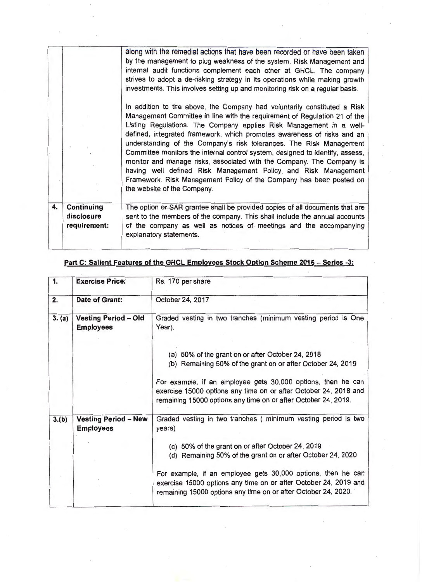|              |                                                 | along with the remedial actions that have been recorded or have been taken<br>by the management to plug weakness of the system. Risk Management and<br>internal audit functions complement each other at GHCL. The company<br>strives to adopt a de-risking strategy in its operations while making growth<br>investments. This involves setting up and monitoring risk on a regular basis.<br>In addition to the above, the Company had voluntarily constituted a Risk<br>Management Committee in line with the requirement of Regulation 21 of the<br>Listing Regulations. The Company applies Risk Management in a well-<br>defined, integrated framework, which promotes awareness of risks and an<br>understanding of the Company's risk tolerances. The Risk Management<br>Committee monitors the internal control system, designed to identify, assess,<br>monitor and manage risks, associated with the Company. The Company is<br>having well defined Risk Management Policy and Risk Management<br>Framework. Risk Management Policy of the Company has been posted on<br>the website of the Company. |
|--------------|-------------------------------------------------|-----------------------------------------------------------------------------------------------------------------------------------------------------------------------------------------------------------------------------------------------------------------------------------------------------------------------------------------------------------------------------------------------------------------------------------------------------------------------------------------------------------------------------------------------------------------------------------------------------------------------------------------------------------------------------------------------------------------------------------------------------------------------------------------------------------------------------------------------------------------------------------------------------------------------------------------------------------------------------------------------------------------------------------------------------------------------------------------------------------------|
| $\mathbf{4}$ | <b>Continuing</b><br>disclosure<br>requirement: | The option or SAR grantee shall be provided copies of all documents that are<br>sent to the members of the company. This shall include the annual accounts<br>of the company as well as notices of meetings and the accompanying<br>explanatory statements.                                                                                                                                                                                                                                                                                                                                                                                                                                                                                                                                                                                                                                                                                                                                                                                                                                                     |
|              |                                                 |                                                                                                                                                                                                                                                                                                                                                                                                                                                                                                                                                                                                                                                                                                                                                                                                                                                                                                                                                                                                                                                                                                                 |

| Graded vesting in two tranches (minimum vesting period is One                                                                                                                                      |
|----------------------------------------------------------------------------------------------------------------------------------------------------------------------------------------------------|
| (a) 50% of the grant on or after October 24, 2018<br>(b) Remaining 50% of the grant on or after October 24, 2019                                                                                   |
| For example, if an employee gets 30,000 options, then he can<br>exercise 15000 options any time on or after October 24, 2018 and<br>remaining 15000 options any time on or after October 24, 2019. |
| Graded vesting in two tranches (minimum vesting period is two                                                                                                                                      |
| (c) 50% of the grant on or after October 24, 2019<br>(d) Remaining 50% of the grant on or after October 24, 2020                                                                                   |
| For example, if an employee gets 30,000 options, then he can<br>exercise 15000 options any time on or after October 24, 2019 and<br>remaining 15000 options any time on or after October 24, 2020. |
|                                                                                                                                                                                                    |

## **Part C: Salient Features of the GHCL Employees Stock Option Scheme 2015 - Series -3:**

 $\sim$